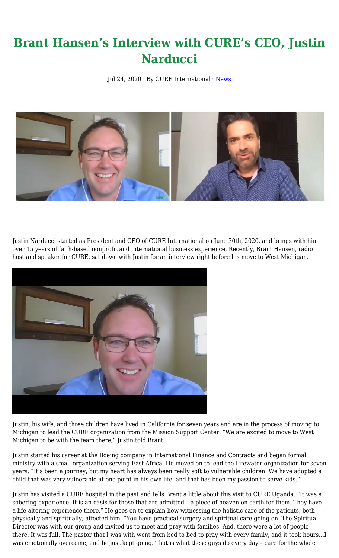## **Brant Hansen's Interview with CURE's CEO, Justin Narducci**

Jul 24, 2020 · By CURE International · [News](https://cure.org/category/news/)



Justin Narducci started as President and CEO of CURE International on June 30th, 2020, and brings with him over 15 years of faith-based nonprofit and international business experience. Recently, Brant Hansen, radio host and speaker for CURE, sat down with Justin for an interview right before his move to West Michigan.



Justin, his wife, and three children have lived in California for seven years and are in the process of moving to Michigan to lead the CURE organization from the Mission Support Center. "We are excited to move to West Michigan to be with the team there," Justin told Brant.

Justin started his career at the Boeing company in International Finance and Contracts and began formal ministry with a small organization serving East Africa. He moved on to lead the Lifewater organization for seven years. "It's been a journey, but my heart has always been really soft to vulnerable children. We have adopted a child that was very vulnerable at one point in his own life, and that has been my passion to serve kids."

Justin has visited a CURE hospital in the past and tells Brant a little about this visit to CURE Uganda. "It was a sobering experience. It is an oasis for those that are admitted – a piece of heaven on earth for them. They have a life-altering experience there." He goes on to explain how witnessing the holistic care of the patients, both physically and spiritually, affected him. "You have practical surgery and spiritual care going on. The Spiritual Director was with our group and invited us to meet and pray with families. And, there were a lot of people there. It was full. The pastor that I was with went from bed to bed to pray with every family, and it took hours…I was emotionally overcome, and he just kept going. That is what these guys do every day – care for the whole